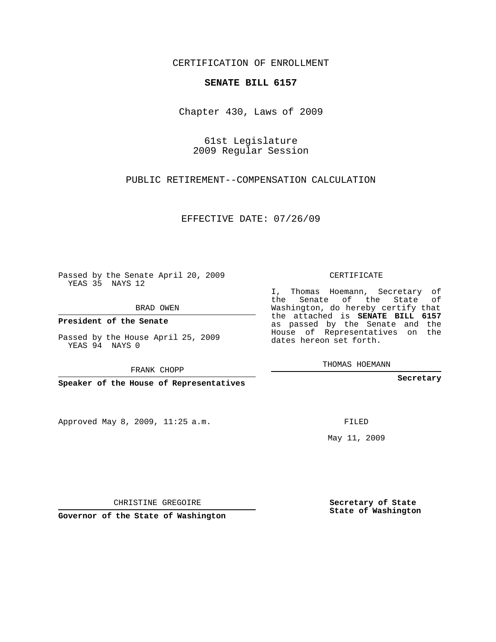## CERTIFICATION OF ENROLLMENT

## **SENATE BILL 6157**

Chapter 430, Laws of 2009

61st Legislature 2009 Regular Session

PUBLIC RETIREMENT--COMPENSATION CALCULATION

EFFECTIVE DATE: 07/26/09

Passed by the Senate April 20, 2009 YEAS 35 NAYS 12

BRAD OWEN

**President of the Senate**

Passed by the House April 25, 2009 YEAS 94 NAYS 0

FRANK CHOPP

**Speaker of the House of Representatives**

Approved May 8, 2009, 11:25 a.m.

CERTIFICATE

I, Thomas Hoemann, Secretary of the Senate of the State of Washington, do hereby certify that the attached is **SENATE BILL 6157** as passed by the Senate and the House of Representatives on the dates hereon set forth.

THOMAS HOEMANN

**Secretary**

FILED

May 11, 2009

**Secretary of State State of Washington**

CHRISTINE GREGOIRE

**Governor of the State of Washington**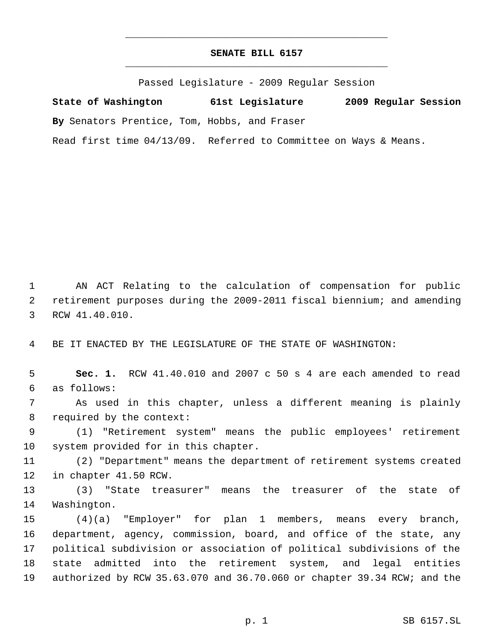## **SENATE BILL 6157** \_\_\_\_\_\_\_\_\_\_\_\_\_\_\_\_\_\_\_\_\_\_\_\_\_\_\_\_\_\_\_\_\_\_\_\_\_\_\_\_\_\_\_\_\_

\_\_\_\_\_\_\_\_\_\_\_\_\_\_\_\_\_\_\_\_\_\_\_\_\_\_\_\_\_\_\_\_\_\_\_\_\_\_\_\_\_\_\_\_\_

Passed Legislature - 2009 Regular Session

**State of Washington 61st Legislature 2009 Regular Session By** Senators Prentice, Tom, Hobbs, and Fraser Read first time 04/13/09. Referred to Committee on Ways & Means.

 AN ACT Relating to the calculation of compensation for public retirement purposes during the 2009-2011 fiscal biennium; and amending RCW 41.40.010.

BE IT ENACTED BY THE LEGISLATURE OF THE STATE OF WASHINGTON:

 **Sec. 1.** RCW 41.40.010 and 2007 c 50 s 4 are each amended to read as follows:

 As used in this chapter, unless a different meaning is plainly required by the context:

 (1) "Retirement system" means the public employees' retirement system provided for in this chapter.

 (2) "Department" means the department of retirement systems created in chapter 41.50 RCW.

 (3) "State treasurer" means the treasurer of the state of Washington.

 (4)(a) "Employer" for plan 1 members, means every branch, department, agency, commission, board, and office of the state, any political subdivision or association of political subdivisions of the state admitted into the retirement system, and legal entities authorized by RCW 35.63.070 and 36.70.060 or chapter 39.34 RCW; and the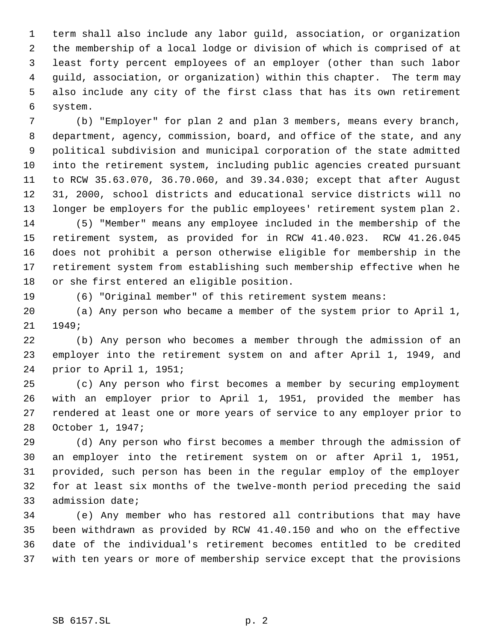term shall also include any labor guild, association, or organization the membership of a local lodge or division of which is comprised of at least forty percent employees of an employer (other than such labor guild, association, or organization) within this chapter. The term may also include any city of the first class that has its own retirement system.

 (b) "Employer" for plan 2 and plan 3 members, means every branch, department, agency, commission, board, and office of the state, and any political subdivision and municipal corporation of the state admitted into the retirement system, including public agencies created pursuant to RCW 35.63.070, 36.70.060, and 39.34.030; except that after August 31, 2000, school districts and educational service districts will no longer be employers for the public employees' retirement system plan 2.

 (5) "Member" means any employee included in the membership of the retirement system, as provided for in RCW 41.40.023. RCW 41.26.045 does not prohibit a person otherwise eligible for membership in the retirement system from establishing such membership effective when he or she first entered an eligible position.

(6) "Original member" of this retirement system means:

 (a) Any person who became a member of the system prior to April 1, 1949;

 (b) Any person who becomes a member through the admission of an employer into the retirement system on and after April 1, 1949, and prior to April 1, 1951;

 (c) Any person who first becomes a member by securing employment with an employer prior to April 1, 1951, provided the member has rendered at least one or more years of service to any employer prior to October 1, 1947;

 (d) Any person who first becomes a member through the admission of an employer into the retirement system on or after April 1, 1951, provided, such person has been in the regular employ of the employer for at least six months of the twelve-month period preceding the said admission date;

 (e) Any member who has restored all contributions that may have been withdrawn as provided by RCW 41.40.150 and who on the effective date of the individual's retirement becomes entitled to be credited with ten years or more of membership service except that the provisions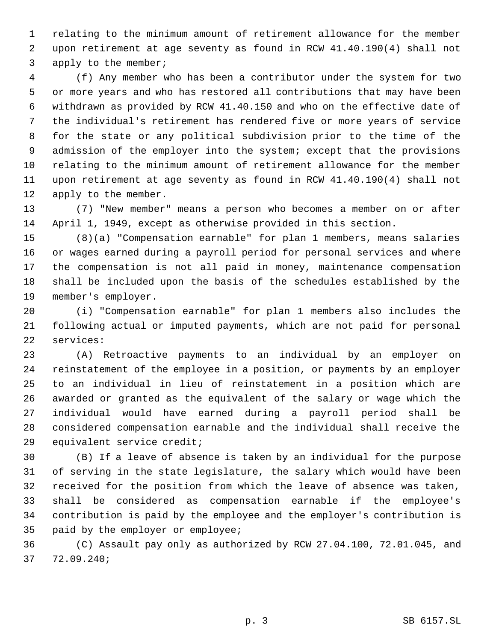relating to the minimum amount of retirement allowance for the member upon retirement at age seventy as found in RCW 41.40.190(4) shall not apply to the member;

 (f) Any member who has been a contributor under the system for two or more years and who has restored all contributions that may have been withdrawn as provided by RCW 41.40.150 and who on the effective date of the individual's retirement has rendered five or more years of service for the state or any political subdivision prior to the time of the admission of the employer into the system; except that the provisions relating to the minimum amount of retirement allowance for the member upon retirement at age seventy as found in RCW 41.40.190(4) shall not apply to the member.

 (7) "New member" means a person who becomes a member on or after April 1, 1949, except as otherwise provided in this section.

 (8)(a) "Compensation earnable" for plan 1 members, means salaries or wages earned during a payroll period for personal services and where the compensation is not all paid in money, maintenance compensation shall be included upon the basis of the schedules established by the member's employer.

 (i) "Compensation earnable" for plan 1 members also includes the following actual or imputed payments, which are not paid for personal services:

 (A) Retroactive payments to an individual by an employer on reinstatement of the employee in a position, or payments by an employer to an individual in lieu of reinstatement in a position which are awarded or granted as the equivalent of the salary or wage which the individual would have earned during a payroll period shall be considered compensation earnable and the individual shall receive the equivalent service credit;

 (B) If a leave of absence is taken by an individual for the purpose of serving in the state legislature, the salary which would have been received for the position from which the leave of absence was taken, shall be considered as compensation earnable if the employee's contribution is paid by the employee and the employer's contribution is paid by the employer or employee;

 (C) Assault pay only as authorized by RCW 27.04.100, 72.01.045, and 72.09.240;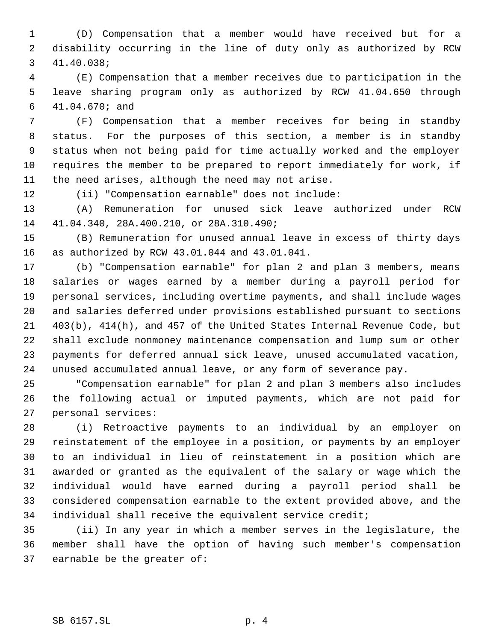(D) Compensation that a member would have received but for a disability occurring in the line of duty only as authorized by RCW 41.40.038;

 (E) Compensation that a member receives due to participation in the leave sharing program only as authorized by RCW 41.04.650 through 41.04.670; and

 (F) Compensation that a member receives for being in standby status. For the purposes of this section, a member is in standby status when not being paid for time actually worked and the employer requires the member to be prepared to report immediately for work, if the need arises, although the need may not arise.

(ii) "Compensation earnable" does not include:

 (A) Remuneration for unused sick leave authorized under RCW 41.04.340, 28A.400.210, or 28A.310.490;

 (B) Remuneration for unused annual leave in excess of thirty days as authorized by RCW 43.01.044 and 43.01.041.

 (b) "Compensation earnable" for plan 2 and plan 3 members, means salaries or wages earned by a member during a payroll period for personal services, including overtime payments, and shall include wages and salaries deferred under provisions established pursuant to sections 403(b), 414(h), and 457 of the United States Internal Revenue Code, but shall exclude nonmoney maintenance compensation and lump sum or other payments for deferred annual sick leave, unused accumulated vacation, unused accumulated annual leave, or any form of severance pay.

 "Compensation earnable" for plan 2 and plan 3 members also includes the following actual or imputed payments, which are not paid for personal services:

 (i) Retroactive payments to an individual by an employer on reinstatement of the employee in a position, or payments by an employer to an individual in lieu of reinstatement in a position which are awarded or granted as the equivalent of the salary or wage which the individual would have earned during a payroll period shall be considered compensation earnable to the extent provided above, and the individual shall receive the equivalent service credit;

 (ii) In any year in which a member serves in the legislature, the member shall have the option of having such member's compensation earnable be the greater of: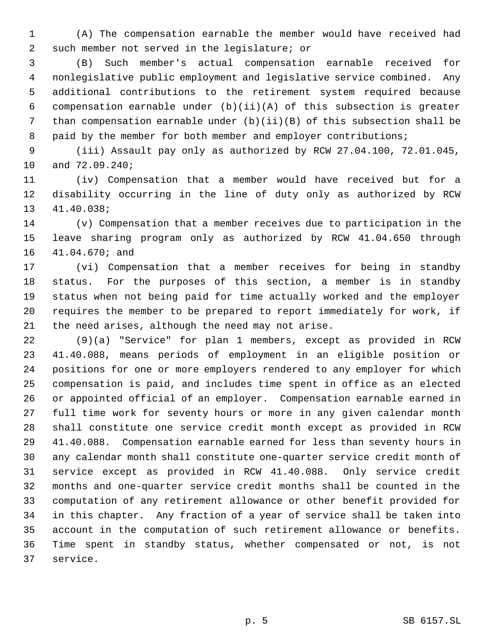(A) The compensation earnable the member would have received had such member not served in the legislature; or

 (B) Such member's actual compensation earnable received for nonlegislative public employment and legislative service combined. Any additional contributions to the retirement system required because compensation earnable under (b)(ii)(A) of this subsection is greater than compensation earnable under (b)(ii)(B) of this subsection shall be 8 paid by the member for both member and employer contributions;

 (iii) Assault pay only as authorized by RCW 27.04.100, 72.01.045, and 72.09.240;

 (iv) Compensation that a member would have received but for a disability occurring in the line of duty only as authorized by RCW 41.40.038;

 (v) Compensation that a member receives due to participation in the leave sharing program only as authorized by RCW 41.04.650 through 41.04.670; and

 (vi) Compensation that a member receives for being in standby status. For the purposes of this section, a member is in standby status when not being paid for time actually worked and the employer requires the member to be prepared to report immediately for work, if the need arises, although the need may not arise.

 (9)(a) "Service" for plan 1 members, except as provided in RCW 41.40.088, means periods of employment in an eligible position or positions for one or more employers rendered to any employer for which compensation is paid, and includes time spent in office as an elected or appointed official of an employer. Compensation earnable earned in full time work for seventy hours or more in any given calendar month shall constitute one service credit month except as provided in RCW 41.40.088. Compensation earnable earned for less than seventy hours in any calendar month shall constitute one-quarter service credit month of service except as provided in RCW 41.40.088. Only service credit months and one-quarter service credit months shall be counted in the computation of any retirement allowance or other benefit provided for in this chapter. Any fraction of a year of service shall be taken into account in the computation of such retirement allowance or benefits. Time spent in standby status, whether compensated or not, is not service.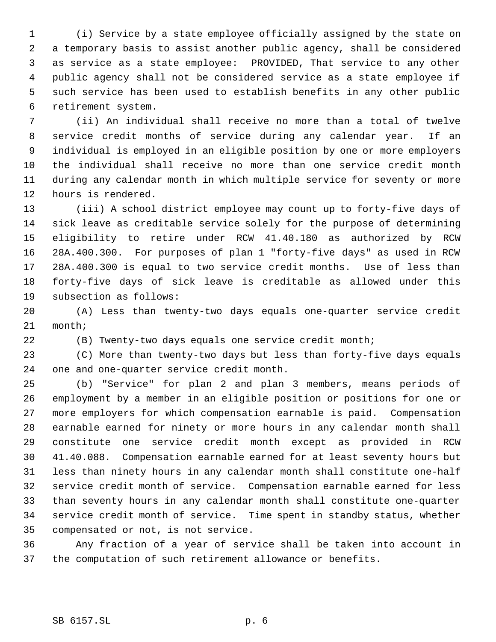(i) Service by a state employee officially assigned by the state on a temporary basis to assist another public agency, shall be considered as service as a state employee: PROVIDED, That service to any other public agency shall not be considered service as a state employee if such service has been used to establish benefits in any other public retirement system.

 (ii) An individual shall receive no more than a total of twelve service credit months of service during any calendar year. If an individual is employed in an eligible position by one or more employers the individual shall receive no more than one service credit month during any calendar month in which multiple service for seventy or more hours is rendered.

 (iii) A school district employee may count up to forty-five days of sick leave as creditable service solely for the purpose of determining eligibility to retire under RCW 41.40.180 as authorized by RCW 28A.400.300. For purposes of plan 1 "forty-five days" as used in RCW 28A.400.300 is equal to two service credit months. Use of less than forty-five days of sick leave is creditable as allowed under this subsection as follows:

 (A) Less than twenty-two days equals one-quarter service credit month;

(B) Twenty-two days equals one service credit month;

 (C) More than twenty-two days but less than forty-five days equals one and one-quarter service credit month.

 (b) "Service" for plan 2 and plan 3 members, means periods of employment by a member in an eligible position or positions for one or more employers for which compensation earnable is paid. Compensation earnable earned for ninety or more hours in any calendar month shall constitute one service credit month except as provided in RCW 41.40.088. Compensation earnable earned for at least seventy hours but less than ninety hours in any calendar month shall constitute one-half service credit month of service. Compensation earnable earned for less than seventy hours in any calendar month shall constitute one-quarter service credit month of service. Time spent in standby status, whether compensated or not, is not service.

 Any fraction of a year of service shall be taken into account in the computation of such retirement allowance or benefits.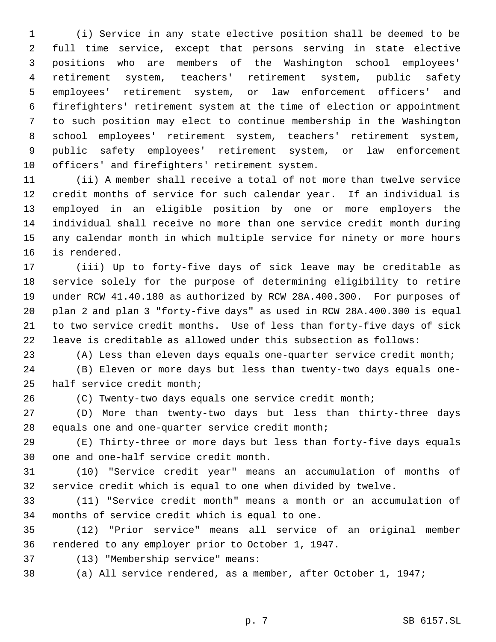(i) Service in any state elective position shall be deemed to be full time service, except that persons serving in state elective positions who are members of the Washington school employees' retirement system, teachers' retirement system, public safety employees' retirement system, or law enforcement officers' and firefighters' retirement system at the time of election or appointment to such position may elect to continue membership in the Washington school employees' retirement system, teachers' retirement system, public safety employees' retirement system, or law enforcement officers' and firefighters' retirement system.

 (ii) A member shall receive a total of not more than twelve service credit months of service for such calendar year. If an individual is employed in an eligible position by one or more employers the individual shall receive no more than one service credit month during any calendar month in which multiple service for ninety or more hours is rendered.

 (iii) Up to forty-five days of sick leave may be creditable as service solely for the purpose of determining eligibility to retire under RCW 41.40.180 as authorized by RCW 28A.400.300. For purposes of plan 2 and plan 3 "forty-five days" as used in RCW 28A.400.300 is equal to two service credit months. Use of less than forty-five days of sick leave is creditable as allowed under this subsection as follows:

(A) Less than eleven days equals one-quarter service credit month;

 (B) Eleven or more days but less than twenty-two days equals one-half service credit month;

(C) Twenty-two days equals one service credit month;

 (D) More than twenty-two days but less than thirty-three days equals one and one-quarter service credit month;

 (E) Thirty-three or more days but less than forty-five days equals one and one-half service credit month.

 (10) "Service credit year" means an accumulation of months of service credit which is equal to one when divided by twelve.

 (11) "Service credit month" means a month or an accumulation of months of service credit which is equal to one.

 (12) "Prior service" means all service of an original member rendered to any employer prior to October 1, 1947.

(13) "Membership service" means:

(a) All service rendered, as a member, after October 1, 1947;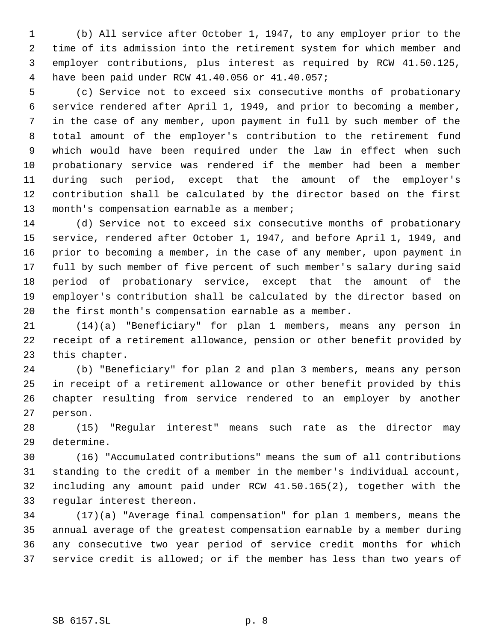(b) All service after October 1, 1947, to any employer prior to the time of its admission into the retirement system for which member and employer contributions, plus interest as required by RCW 41.50.125, have been paid under RCW 41.40.056 or 41.40.057;

 (c) Service not to exceed six consecutive months of probationary service rendered after April 1, 1949, and prior to becoming a member, in the case of any member, upon payment in full by such member of the total amount of the employer's contribution to the retirement fund which would have been required under the law in effect when such probationary service was rendered if the member had been a member during such period, except that the amount of the employer's contribution shall be calculated by the director based on the first month's compensation earnable as a member;

 (d) Service not to exceed six consecutive months of probationary service, rendered after October 1, 1947, and before April 1, 1949, and prior to becoming a member, in the case of any member, upon payment in full by such member of five percent of such member's salary during said period of probationary service, except that the amount of the employer's contribution shall be calculated by the director based on the first month's compensation earnable as a member.

 (14)(a) "Beneficiary" for plan 1 members, means any person in receipt of a retirement allowance, pension or other benefit provided by this chapter.

 (b) "Beneficiary" for plan 2 and plan 3 members, means any person in receipt of a retirement allowance or other benefit provided by this chapter resulting from service rendered to an employer by another person.

 (15) "Regular interest" means such rate as the director may determine.

 (16) "Accumulated contributions" means the sum of all contributions standing to the credit of a member in the member's individual account, including any amount paid under RCW 41.50.165(2), together with the regular interest thereon.

 (17)(a) "Average final compensation" for plan 1 members, means the annual average of the greatest compensation earnable by a member during any consecutive two year period of service credit months for which service credit is allowed; or if the member has less than two years of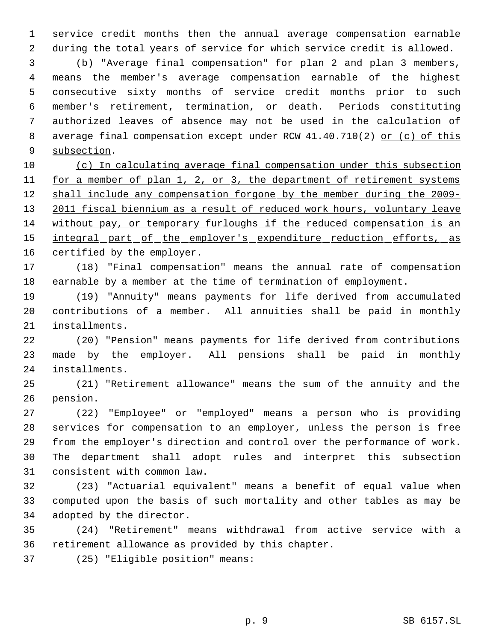service credit months then the annual average compensation earnable during the total years of service for which service credit is allowed.

 (b) "Average final compensation" for plan 2 and plan 3 members, means the member's average compensation earnable of the highest consecutive sixty months of service credit months prior to such member's retirement, termination, or death. Periods constituting authorized leaves of absence may not be used in the calculation of 8 average final compensation except under RCW 41.40.710(2) or (c) of this subsection.

 (c) In calculating average final compensation under this subsection 11 for a member of plan 1, 2, or 3, the department of retirement systems 12 shall include any compensation forgone by the member during the 2009-13 2011 fiscal biennium as a result of reduced work hours, voluntary leave without pay, or temporary furloughs if the reduced compensation is an 15 integral part of the employer's expenditure reduction efforts, as 16 certified by the employer.

 (18) "Final compensation" means the annual rate of compensation earnable by a member at the time of termination of employment.

 (19) "Annuity" means payments for life derived from accumulated contributions of a member. All annuities shall be paid in monthly installments.

 (20) "Pension" means payments for life derived from contributions made by the employer. All pensions shall be paid in monthly installments.

 (21) "Retirement allowance" means the sum of the annuity and the pension.

 (22) "Employee" or "employed" means a person who is providing services for compensation to an employer, unless the person is free from the employer's direction and control over the performance of work. The department shall adopt rules and interpret this subsection consistent with common law.

 (23) "Actuarial equivalent" means a benefit of equal value when computed upon the basis of such mortality and other tables as may be adopted by the director.

 (24) "Retirement" means withdrawal from active service with a retirement allowance as provided by this chapter.

(25) "Eligible position" means: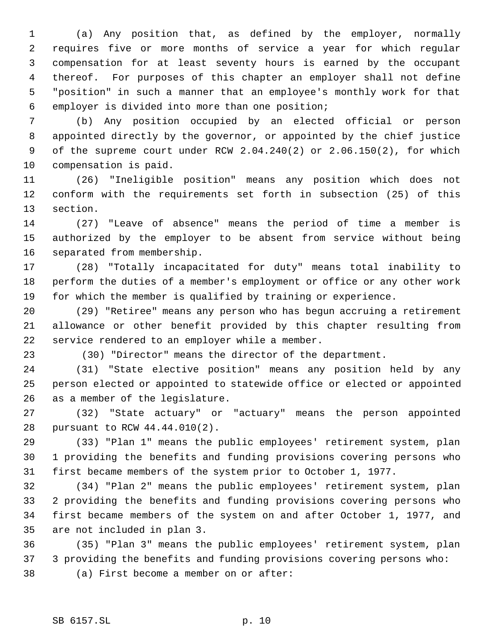(a) Any position that, as defined by the employer, normally requires five or more months of service a year for which regular compensation for at least seventy hours is earned by the occupant thereof. For purposes of this chapter an employer shall not define "position" in such a manner that an employee's monthly work for that employer is divided into more than one position;

 (b) Any position occupied by an elected official or person appointed directly by the governor, or appointed by the chief justice of the supreme court under RCW 2.04.240(2) or 2.06.150(2), for which compensation is paid.

 (26) "Ineligible position" means any position which does not conform with the requirements set forth in subsection (25) of this section.

 (27) "Leave of absence" means the period of time a member is authorized by the employer to be absent from service without being separated from membership.

 (28) "Totally incapacitated for duty" means total inability to perform the duties of a member's employment or office or any other work for which the member is qualified by training or experience.

 (29) "Retiree" means any person who has begun accruing a retirement allowance or other benefit provided by this chapter resulting from service rendered to an employer while a member.

23 (30) "Director" means the director of the department.

 (31) "State elective position" means any position held by any person elected or appointed to statewide office or elected or appointed as a member of the legislature.

 (32) "State actuary" or "actuary" means the person appointed pursuant to RCW 44.44.010(2).

 (33) "Plan 1" means the public employees' retirement system, plan 1 providing the benefits and funding provisions covering persons who first became members of the system prior to October 1, 1977.

 (34) "Plan 2" means the public employees' retirement system, plan 2 providing the benefits and funding provisions covering persons who first became members of the system on and after October 1, 1977, and are not included in plan 3.

 (35) "Plan 3" means the public employees' retirement system, plan 3 providing the benefits and funding provisions covering persons who: (a) First become a member on or after: